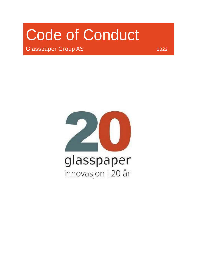# Code of Conduct

Glasspaper Group AS 2022

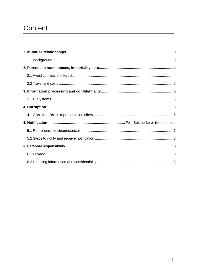# Content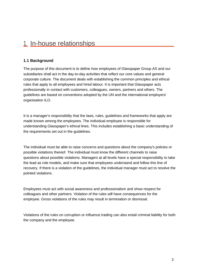## 1. In-house relationships

#### **1.1 Background**

The purpose of this document is to define how employees of Glasspaper Group AS and our subsidiaries shall act in the day-to-day activities that reflect our core values and general corporate culture. The document deals with establishing the common principles and ethical rules that apply to all employees and hired labour. It is important that Glasspaper acts professionally in contact with customers, colleagues, owners, partners and others. The guidelines are based on conventions adopted by the UN and the international employers' organisation ILO.

It is a manager's responsibility that the laws, rules, guidelines and frameworks that apply are made known among the employees. The individual employee is responsible for understanding Glasspaper's ethical lines. This includes establishing a basic understanding of the requirements set out in the guidelines.

The individual must be able to raise concerns and questions about the company's policies or possible violations thereof. The individual must know the different channels to raise questions about possible violations. Managers at all levels have a special responsibility to take the lead as role models, and make sure that employees understand and follow this line of recovery. If there is a violation of the guidelines, the individual manager must act to resolve the pointed violations.

Employees must act with social awareness and professionalism and show respect for colleagues and other partners. Violation of the rules will have consequences for the employee. Gross violations of the rules may result in termination or dismissal.

Violations of the rules on corruption or influence trading can also entail criminal liability for both the company and the employee.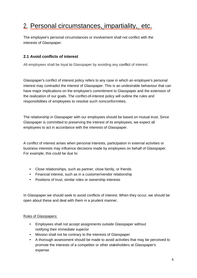# 2. Personal circumstances, impartiality, etc.

The employee's personal circumstances or involvement shall not conflict with the interests of Glasspaper.

#### **2.1 Avoid conflicts of interest**

All employees shall be loyal to Glasspaper by avoiding any conflict of interest.

Glasspaper's conflict of interest policy refers to any case in which an employee's personal interest may contradict the interest of Glasspaper. This is an undesirable behaviour that can have major implications on the employee's commitment to Glasspaper and the extension of the realization of our goals. The conflict-of-interest policy will outline the rules and responsibilities of employees to resolve such nonconformities.

The relationship in Glasspaper with our employees should be based on mutual trust. Since Glasspaper is committed to preserving the interest of its employees, we expect all employees to act in accordance with the interests of Glasspaper.

A conflict of interest arises when personal interests, participation in external activities or business interests may influence decisions made by employees on behalf of Glasspaper. For example, this could be due to:

- Close relationships, such as partner, close family, or friends
- Financial interest, such as in a customer/vendor relationship
- Positions of trust, similar roles or ownership interests

In Glasspaper we should seek to avoid conflicts of interest. When they occur, we should be open about these and deal with them in a prudent manner.

#### Rules of Glasspapers:

- Employees shall not accept assignments outside Glasspaper without notifying their immediate superior
- Mission shall not be contrary to the interests of Glasspaper
- A thorough assessment should be made to avoid activities that may be perceived to promote the interests of a competitor or other stakeholders at Glasspaper's expense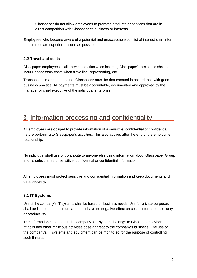• Glasspaper do not allow employees to promote products or services that are in direct competition with Glasspaper's business or interests.

Employees who become aware of a potential and unacceptable conflict of interest shall inform their immediate superior as soon as possible.

#### **2.2 Travel and costs**

Glasspaper employees shall show moderation when incurring Glasspaper's costs, and shall not incur unnecessary costs when travelling, representing, etc.

Transactions made on behalf of Glasspaper must be documented in accordance with good business practice. All payments must be accountable, documented and approved by the manager or chief executive of the individual enterprise.

## 3. Information processing and confidentiality

All employees are obliged to provide information of a sensitive, confidential or confidential nature pertaining to Glasspaper's activities. This also applies after the end of the employment relationship.

No individual shall use or contribute to anyone else using information about Glasspaper Group and its subsidiaries of sensitive, confidential or confidential information.

All employees must protect sensitive and confidential information and keep documents and data securely.

#### **3.1 IT Systems**

Use of the company's IT systems shall be based on business needs. Use for private purposes shall be limited to a minimum and must have no negative effect on costs, information security or productivity.

The information contained in the company's IT systems belongs to Glasspaper. Cyberattacks and other malicious activities pose a threat to the company's business. The use of the company's IT systems and equipment can be monitored for the purpose of controlling such threats.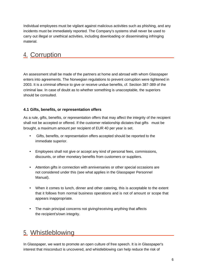Individual employees must be vigilant against malicious activities such as phishing, and any incidents must be immediately reported. The Company's systems shall never be used to carry out illegal or unethical activities, including downloading or disseminating infringing material.

# 4. Corruption

An assessment shall be made of the partners at home and abroad with whom Glasspaper enters into agreements. The Norwegian regulations to prevent corruption were tightened in 2003. It is a criminal offence to give or receive undue benefits, cf. Section 387-389 of the criminal law. In case of doubt as to whether something is unacceptable, the superiors should be consulted.

#### **4.1 Gifts, benefits, or representation offers**

As a rule, gifts, benefits, or representation offers that may affect the integrity of the recipient shall not be accepted or offered. If the customer relationship dictates that gifts must be brought, a maximum amount per recipient of EUR 40 per year is set.

- Gifts, benefits, or representation offers accepted should be reported to the immediate superior.
- Employees shall not give or accept any kind of personal fees, commissions, discounts, or other monetary benefits from customers or suppliers.
- Attention gifts in connection with anniversaries or other special occasions are not considered under this (see what applies in the Glasspaper Personnel Manual).
- When it comes to lunch, dinner and other catering, this is acceptable to the extent that it follows from normal business operations and is not of amount or scope that appears inappropriate.
- The main principal concerns not giving/receiving anything that affects the recipient's/own integrity.

### 5. Whistleblowing

In Glasspaper, we want to promote an open culture of free speech. It is in Glasspaper's interest that misconduct is uncovered, and whistleblowing can help reduce the risk of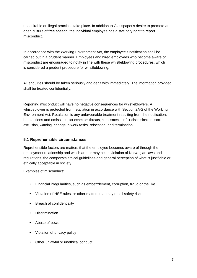undesirable or illegal practices take place. In addition to Glasspaper's desire to promote an open culture of free speech, the individual employee has a statutory right to report misconduct.

In accordance with the Working Environment Act, the employee's notification shall be carried out in a prudent manner. Employees and hired employees who become aware of misconduct are encouraged to notify in line with these whistleblowing procedures, which is considered a prudent procedure for whistleblowing.

All enquiries should be taken seriously and dealt with immediately. The information provided shall be treated confidentially.

Reporting misconduct will have no negative consequences for whistleblowers. A whistleblower is protected from retaliation in accordance with Section 2A-2 of the Working Environment Act. Retaliation is any unfavourable treatment resulting from the notification, both actions and omissions, for example: threats, harassment, unfair discrimination, social exclusion, warning, change in work tasks, relocation, and termination.

#### **5.1 Reprehensible circumstances**

Reprehensible factors are matters that the employee becomes aware of through the employment relationship and which are, or may be, in violation of Norwegian laws and regulations, the company's ethical guidelines and general perception of what is justifiable or ethically acceptable in society.

Examples of misconduct:

- Financial irregularities, such as embezzlement, corruption, fraud or the like
- Violation of HSE rules, or other matters that may entail safety risks
- Breach of confidentiality
- Discrimination
- Abuse of power
- Violation of privacy policy
- Other unlawful or unethical conduct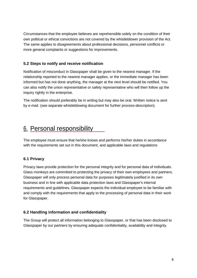Circumstances that the employee believes are reprehensible solely on the condition of their own political or ethical convictions are not covered by the whistleblower provision of the Act. The same applies to disagreements about professional decisions, personnel conflicts or more general complaints or suggestions for improvements.

#### **5.2 Steps to notify and receive notification**

Notification of misconduct in Glasspaper shall be given to the nearest manager. If the relationship reported to the nearest manager applies, or the immediate manager has been informed but has not done anything, the manager at the next level should be notified. You can also notify the union representative or safety representative who will then follow up the inquiry rightly in the enterprise.

The notification should preferably be in writing but may also be oral. Written notice is sent by e-mail. (see separate whistleblowing document for further process-description).

## 6. Personal responsibility

The employee must ensure that he/she knows and performs his/her duties in accordance with the requirements set out in this document, and applicable laws and regulations

#### **6.1 Privacy**

Privacy laws provide protection for the personal integrity and for personal data of individuals. Glass monkeys are committed to protecting the privacy of their own employees and partners. Glasspaper will only process personal data for purposes legitimately justified in its own business and in line with applicable data protection laws and Glasspaper's internal requirements and guidelines. Glasspaper expects the individual employee to be familiar with and comply with the requirements that apply to the processing of personal data in their work for Glasspaper.

#### **6.2 Handling information and confidentiality**

The Group will protect all information belonging to Glasspaper, or that has been disclosed to Glasspaper by our partners by ensuring adequate confidentiality, availability and integrity.